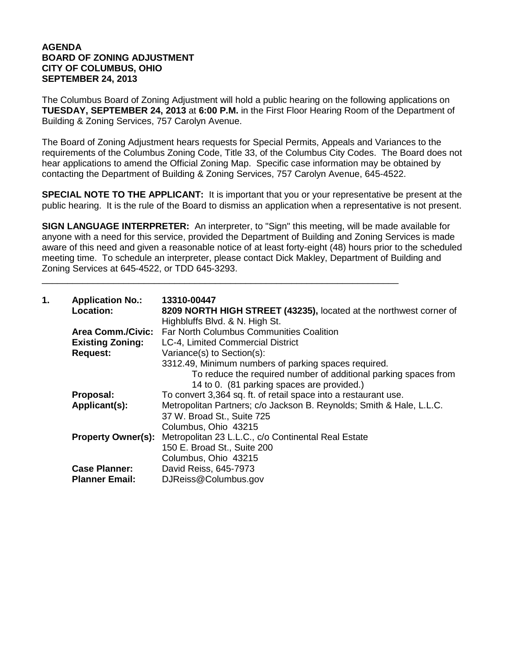## **AGENDA BOARD OF ZONING ADJUSTMENT CITY OF COLUMBUS, OHIO SEPTEMBER 24, 2013**

The Columbus Board of Zoning Adjustment will hold a public hearing on the following applications on **TUESDAY, SEPTEMBER 24, 2013** at **6:00 P.M.** in the First Floor Hearing Room of the Department of Building & Zoning Services, 757 Carolyn Avenue.

The Board of Zoning Adjustment hears requests for Special Permits, Appeals and Variances to the requirements of the Columbus Zoning Code, Title 33, of the Columbus City Codes. The Board does not hear applications to amend the Official Zoning Map. Specific case information may be obtained by contacting the Department of Building & Zoning Services, 757 Carolyn Avenue, 645-4522.

**SPECIAL NOTE TO THE APPLICANT:** It is important that you or your representative be present at the public hearing. It is the rule of the Board to dismiss an application when a representative is not present.

**SIGN LANGUAGE INTERPRETER:** An interpreter, to "Sign" this meeting, will be made available for anyone with a need for this service, provided the Department of Building and Zoning Services is made aware of this need and given a reasonable notice of at least forty-eight (48) hours prior to the scheduled meeting time. To schedule an interpreter, please contact Dick Makley, Department of Building and Zoning Services at 645-4522, or TDD 645-3293.

\_\_\_\_\_\_\_\_\_\_\_\_\_\_\_\_\_\_\_\_\_\_\_\_\_\_\_\_\_\_\_\_\_\_\_\_\_\_\_\_\_\_\_\_\_\_\_\_\_\_\_\_\_\_\_\_\_\_\_\_\_\_\_\_\_\_\_\_\_\_

| 1. | <b>Application No.:</b><br>Location: | 13310-00447<br>8209 NORTH HIGH STREET (43235), located at the northwest corner of<br>Highbluffs Blvd. & N. High St. |
|----|--------------------------------------|---------------------------------------------------------------------------------------------------------------------|
|    |                                      | Area Comm./Civic: Far North Columbus Communities Coalition                                                          |
|    | <b>Existing Zoning:</b>              | LC-4, Limited Commercial District                                                                                   |
|    | <b>Request:</b>                      | Variance(s) to Section(s):                                                                                          |
|    |                                      | 3312.49, Minimum numbers of parking spaces required.                                                                |
|    |                                      | To reduce the required number of additional parking spaces from                                                     |
|    |                                      | 14 to 0. (81 parking spaces are provided.)                                                                          |
|    | Proposal:                            | To convert 3,364 sq. ft. of retail space into a restaurant use.                                                     |
|    | Applicant(s):                        | Metropolitan Partners; c/o Jackson B. Reynolds; Smith & Hale, L.L.C.                                                |
|    |                                      | 37 W. Broad St., Suite 725                                                                                          |
|    |                                      | Columbus, Ohio 43215                                                                                                |
|    |                                      | <b>Property Owner(s):</b> Metropolitan 23 L.L.C., c/o Continental Real Estate                                       |
|    |                                      | 150 E. Broad St., Suite 200                                                                                         |
|    |                                      | Columbus, Ohio 43215                                                                                                |
|    | <b>Case Planner:</b>                 | David Reiss, 645-7973                                                                                               |
|    | <b>Planner Email:</b>                | DJReiss@Columbus.gov                                                                                                |
|    |                                      |                                                                                                                     |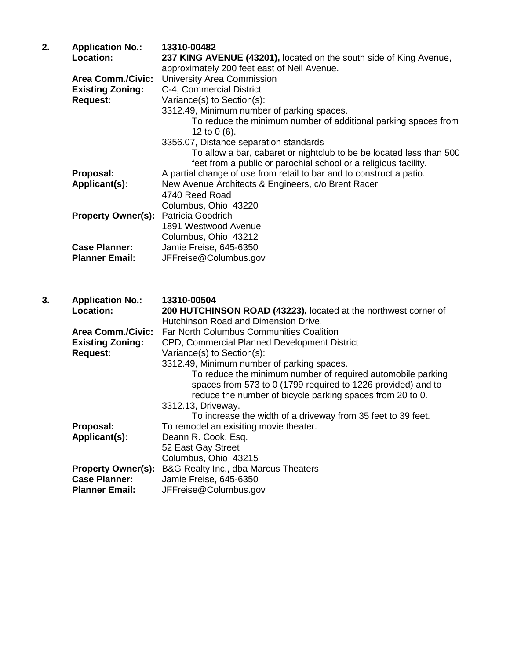| 2. | <b>Application No.:</b><br>Location: | 13310-00482<br>237 KING AVENUE (43201), located on the south side of King Avenue,<br>approximately 200 feet east of Neil Avenue.       |
|----|--------------------------------------|----------------------------------------------------------------------------------------------------------------------------------------|
|    | <b>Area Comm./Civic:</b>             | University Area Commission                                                                                                             |
|    | <b>Existing Zoning:</b>              | C-4, Commercial District                                                                                                               |
|    | <b>Request:</b>                      | Variance(s) to Section(s):                                                                                                             |
|    |                                      | 3312.49, Minimum number of parking spaces.                                                                                             |
|    |                                      | To reduce the minimum number of additional parking spaces from<br>12 to $0(6)$ .                                                       |
|    |                                      | 3356.07, Distance separation standards                                                                                                 |
|    |                                      | To allow a bar, cabaret or nightclub to be be located less than 500<br>feet from a public or parochial school or a religious facility. |
|    | Proposal:                            | A partial change of use from retail to bar and to construct a patio.                                                                   |
|    | Applicant(s):                        | New Avenue Architects & Engineers, c/o Brent Racer                                                                                     |
|    |                                      | 4740 Reed Road                                                                                                                         |
|    |                                      | Columbus, Ohio 43220                                                                                                                   |
|    | <b>Property Owner(s):</b>            | Patricia Goodrich                                                                                                                      |
|    |                                      | 1891 Westwood Avenue                                                                                                                   |
|    |                                      | Columbus, Ohio 43212                                                                                                                   |
|    | <b>Case Planner:</b>                 | Jamie Freise, 645-6350                                                                                                                 |
|    | <b>Planner Email:</b>                | JFFreise@Columbus.gov                                                                                                                  |
|    |                                      |                                                                                                                                        |
| 3. | <b>Application No.:</b>              | 13310-00504                                                                                                                            |
|    | Location:                            | 200 HUTCHINSON ROAD (43223), located at the northwest corner of                                                                        |
|    |                                      | Hutchinson Road and Dimension Drive.                                                                                                   |
|    | <b>Area Comm./Civic:</b>             | <b>Far North Columbus Communities Coalition</b>                                                                                        |
|    | <b>Existing Zoning:</b>              | CPD, Commercial Planned Development District                                                                                           |
|    |                                      | $\lambda$ /seisessa/s $\lambda$ to $\Omega$ sation/s $\lambda$ .                                                                       |

**Request:** Variance(s) to Section(s):

**Case Planner:** Jamie Freise, 645-6350

**Property Owner(s):** B&G Realty Inc., dba Marcus Theaters<br>Case Planner: Jamie Freise. 645-6350

**Planner Email:** JFFreise@Columbus.gov

3312.49, Minimum number of parking spaces. To reduce the minimum number of required automobile parking spaces from 573 to 0 (1799 required to 1226 provided) and to reduce the number of bicycle parking spaces from 20 to 0. 3312.13, Driveway. To increase the width of a driveway from 35 feet to 39 feet. **Proposal:** To remodel an exisiting movie theater.<br> **Applicant(s):** Deann R. Cook, Esq. Deann R. Cook, Esq. 52 East Gay Street Columbus, Ohio 43215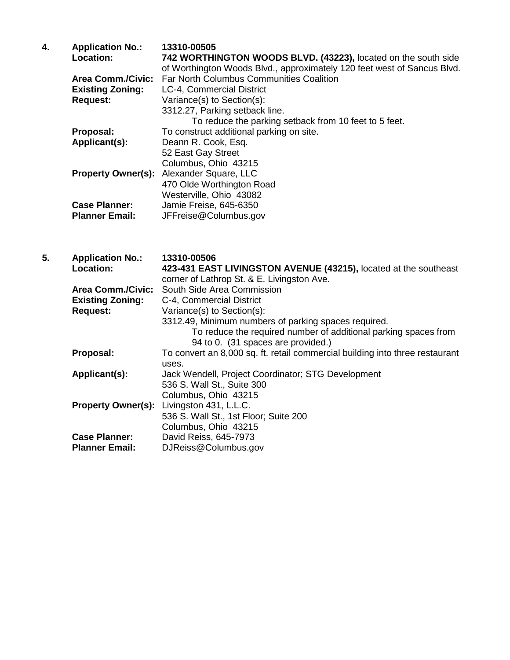| 4. | <b>Application No.:</b>  | 13310-00505                                                             |
|----|--------------------------|-------------------------------------------------------------------------|
|    | Location:                | 742 WORTHINGTON WOODS BLVD. (43223), located on the south side          |
|    |                          | of Worthington Woods Blvd., approximately 120 feet west of Sancus Blvd. |
|    | <b>Area Comm./Civic:</b> | <b>Far North Columbus Communities Coalition</b>                         |
|    | <b>Existing Zoning:</b>  | LC-4, Commercial District                                               |
|    | <b>Request:</b>          | Variance(s) to Section(s):                                              |
|    |                          | 3312.27, Parking setback line.                                          |
|    |                          | To reduce the parking setback from 10 feet to 5 feet.                   |
|    | Proposal:                | To construct additional parking on site.                                |
|    | Applicant(s):            | Deann R. Cook, Esq.                                                     |
|    |                          | 52 East Gay Street                                                      |
|    |                          | Columbus, Ohio 43215                                                    |
|    |                          | <b>Property Owner(s):</b> Alexander Square, LLC                         |
|    |                          | 470 Olde Worthington Road                                               |
|    |                          | Westerville, Ohio 43082                                                 |
|    | <b>Case Planner:</b>     | Jamie Freise, 645-6350                                                  |
|    | <b>Planner Email:</b>    | JFFreise@Columbus.gov                                                   |
|    |                          |                                                                         |

| 5. | <b>Application No.:</b>   | 13310-00506                                                                  |
|----|---------------------------|------------------------------------------------------------------------------|
|    | Location:                 | 423-431 EAST LIVINGSTON AVENUE (43215), located at the southeast             |
|    |                           | corner of Lathrop St. & E. Livingston Ave.                                   |
|    | <b>Area Comm./Civic:</b>  | South Side Area Commission                                                   |
|    | <b>Existing Zoning:</b>   | C-4, Commercial District                                                     |
|    | <b>Request:</b>           | Variance(s) to Section(s):                                                   |
|    |                           | 3312.49, Minimum numbers of parking spaces required.                         |
|    |                           | To reduce the required number of additional parking spaces from              |
|    |                           | 94 to 0. (31 spaces are provided.)                                           |
|    | Proposal:                 | To convert an 8,000 sq. ft. retail commercial building into three restaurant |
|    |                           | uses.                                                                        |
|    | Applicant(s):             | Jack Wendell, Project Coordinator; STG Development                           |
|    |                           | 536 S. Wall St., Suite 300                                                   |
|    |                           | Columbus, Ohio 43215                                                         |
|    | <b>Property Owner(s):</b> | Livingston 431, L.L.C.                                                       |
|    |                           | 536 S. Wall St., 1st Floor; Suite 200                                        |
|    |                           | Columbus, Ohio 43215                                                         |
|    | <b>Case Planner:</b>      | David Reiss, 645-7973                                                        |
|    | <b>Planner Email:</b>     | DJReiss@Columbus.gov                                                         |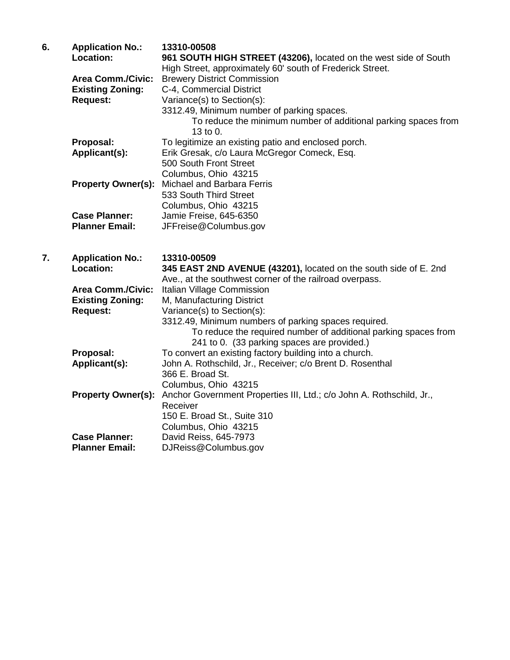| 6. | <b>Application No.:</b>              | 13310-00508                                                                                  |
|----|--------------------------------------|----------------------------------------------------------------------------------------------|
|    | Location:                            | 961 SOUTH HIGH STREET (43206), located on the west side of South                             |
|    |                                      | High Street, approximately 60' south of Frederick Street.                                    |
|    | <b>Area Comm./Civic:</b>             | <b>Brewery District Commission</b>                                                           |
|    | <b>Existing Zoning:</b>              | C-4, Commercial District                                                                     |
|    | <b>Request:</b>                      | Variance(s) to Section(s):                                                                   |
|    |                                      | 3312.49, Minimum number of parking spaces.                                                   |
|    |                                      | To reduce the minimum number of additional parking spaces from                               |
|    |                                      | 13 to 0.                                                                                     |
|    | Proposal:                            | To legitimize an existing patio and enclosed porch.                                          |
|    | Applicant(s):                        | Erik Gresak, c/o Laura McGregor Comeck, Esq.                                                 |
|    |                                      | 500 South Front Street                                                                       |
|    |                                      | Columbus, Ohio 43215                                                                         |
|    | <b>Property Owner(s):</b>            | Michael and Barbara Ferris                                                                   |
|    |                                      | 533 South Third Street                                                                       |
|    |                                      | Columbus, Ohio 43215                                                                         |
|    | <b>Case Planner:</b>                 | Jamie Freise, 645-6350                                                                       |
|    | <b>Planner Email:</b>                | JFFreise@Columbus.gov                                                                        |
|    |                                      |                                                                                              |
| 7. |                                      | 13310-00509                                                                                  |
|    | <b>Application No.:</b><br>Location: |                                                                                              |
|    |                                      | 345 EAST 2ND AVENUE (43201), located on the south side of E. 2nd                             |
|    | <b>Area Comm./Civic:</b>             | Ave., at the southwest corner of the railroad overpass.<br><b>Italian Village Commission</b> |
|    | <b>Existing Zoning:</b>              | M, Manufacturing District                                                                    |
|    | <b>Request:</b>                      | Variance(s) to Section(s):                                                                   |
|    |                                      | 3312.49, Minimum numbers of parking spaces required.                                         |
|    |                                      | To reduce the required number of additional parking spaces from                              |
|    |                                      | 241 to 0. (33 parking spaces are provided.)                                                  |
|    |                                      |                                                                                              |

| Proposal:             | To convert an existing factory building into a church.                                         |
|-----------------------|------------------------------------------------------------------------------------------------|
| Applicant(s):         | John A. Rothschild, Jr., Receiver; c/o Brent D. Rosenthal                                      |
|                       | 366 E. Broad St.                                                                               |
|                       | Columbus, Ohio 43215                                                                           |
|                       | <b>Property Owner(s):</b> Anchor Government Properties III, Ltd.; c/o John A. Rothschild, Jr., |
|                       | Receiver                                                                                       |
|                       | 150 E. Broad St., Suite 310                                                                    |
|                       | Columbus, Ohio 43215                                                                           |
| <b>Case Planner:</b>  | David Reiss, 645-7973                                                                          |
| <b>Planner Email:</b> | DJReiss@Columbus.gov                                                                           |
|                       |                                                                                                |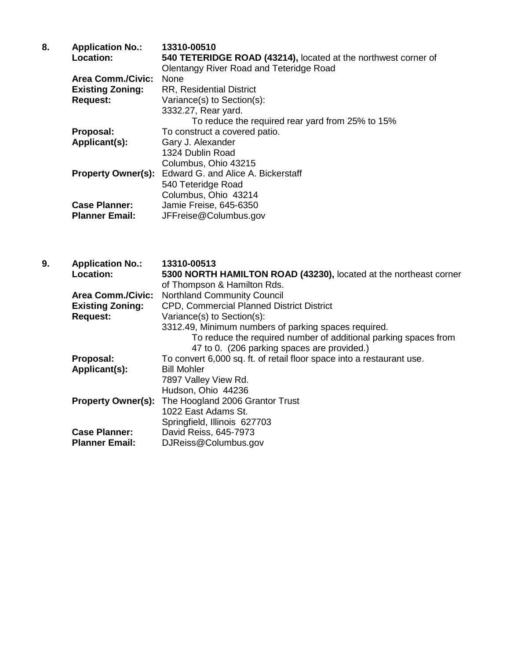| 8. | <b>Application No.:</b>   | 13310-00510                                                    |
|----|---------------------------|----------------------------------------------------------------|
|    | Location:                 | 540 TETERIDGE ROAD (43214), located at the northwest corner of |
|    |                           | <b>Olentangy River Road and Teteridge Road</b>                 |
|    | <b>Area Comm./Civic:</b>  | <b>None</b>                                                    |
|    | <b>Existing Zoning:</b>   | <b>RR, Residential District</b>                                |
|    | <b>Request:</b>           | Variance(s) to Section(s):                                     |
|    |                           | 3332.27, Rear yard.                                            |
|    |                           | To reduce the required rear yard from 25% to 15%               |
|    | Proposal:                 | To construct a covered patio.                                  |
|    | Applicant(s):             | Gary J. Alexander                                              |
|    |                           | 1324 Dublin Road                                               |
|    |                           | Columbus, Ohio 43215                                           |
|    | <b>Property Owner(s):</b> | Edward G. and Alice A. Bickerstaff                             |
|    |                           | 540 Teteridge Road                                             |
|    |                           | Columbus, Ohio 43214                                           |
|    | <b>Case Planner:</b>      | Jamie Freise, 645-6350                                         |
|    | <b>Planner Email:</b>     | JFFreise@Columbus.gov                                          |
|    |                           |                                                                |

| 9. | <b>Application No.:</b><br><b>Location:</b> | 13310-00513<br>5300 NORTH HAMILTON ROAD (43230), located at the northeast corner<br>of Thompson & Hamilton Rds. |
|----|---------------------------------------------|-----------------------------------------------------------------------------------------------------------------|
|    | <b>Area Comm./Civic:</b>                    | <b>Northland Community Council</b>                                                                              |
|    | <b>Existing Zoning:</b>                     | CPD, Commercial Planned District District                                                                       |
|    | <b>Request:</b>                             | Variance(s) to Section(s):                                                                                      |
|    |                                             | 3312.49, Minimum numbers of parking spaces required.                                                            |
|    |                                             | To reduce the required number of additional parking spaces from<br>47 to 0. (206 parking spaces are provided.)  |
|    | Proposal:                                   | To convert 6,000 sq. ft. of retail floor space into a restaurant use.                                           |
|    | Applicant(s):                               | <b>Bill Mohler</b>                                                                                              |
|    |                                             | 7897 Valley View Rd.                                                                                            |
|    |                                             | Hudson, Ohio 44236                                                                                              |
|    | <b>Property Owner(s):</b>                   | The Hoogland 2006 Grantor Trust                                                                                 |
|    |                                             | 1022 East Adams St.                                                                                             |
|    |                                             | Springfield, Illinois 627703                                                                                    |
|    | <b>Case Planner:</b>                        | David Reiss, 645-7973                                                                                           |
|    | <b>Planner Email:</b>                       | DJReiss@Columbus.gov                                                                                            |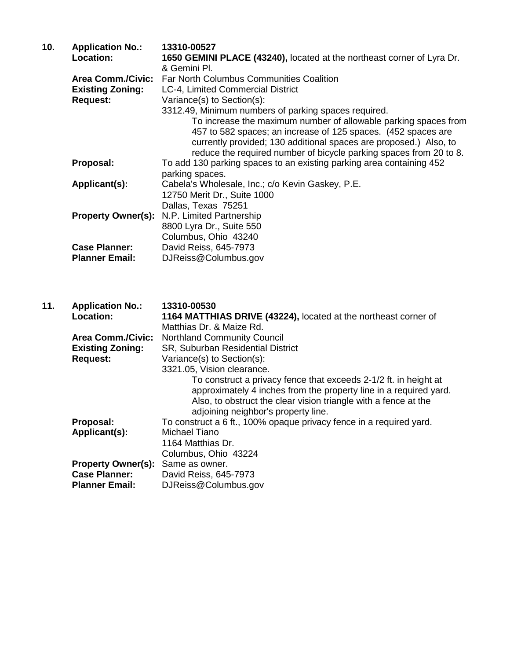| 10. | <b>Application No.:</b>  | 13310-00527                                                                                                                                                                                                                                                                 |
|-----|--------------------------|-----------------------------------------------------------------------------------------------------------------------------------------------------------------------------------------------------------------------------------------------------------------------------|
|     | <b>Location:</b>         | 1650 GEMINI PLACE (43240), located at the northeast corner of Lyra Dr.                                                                                                                                                                                                      |
|     |                          | & Gemini PI.                                                                                                                                                                                                                                                                |
|     | <b>Area Comm./Civic:</b> | <b>Far North Columbus Communities Coalition</b>                                                                                                                                                                                                                             |
|     | <b>Existing Zoning:</b>  | LC-4, Limited Commercial District                                                                                                                                                                                                                                           |
|     | <b>Request:</b>          | Variance(s) to Section(s):                                                                                                                                                                                                                                                  |
|     |                          | 3312.49, Minimum numbers of parking spaces required.                                                                                                                                                                                                                        |
|     |                          | To increase the maximum number of allowable parking spaces from<br>457 to 582 spaces; an increase of 125 spaces. (452 spaces are<br>currently provided; 130 additional spaces are proposed.) Also, to<br>reduce the required number of bicycle parking spaces from 20 to 8. |
|     | Proposal:                | To add 130 parking spaces to an existing parking area containing 452<br>parking spaces.                                                                                                                                                                                     |
|     | Applicant(s):            | Cabela's Wholesale, Inc.; c/o Kevin Gaskey, P.E.                                                                                                                                                                                                                            |
|     |                          | 12750 Merit Dr., Suite 1000                                                                                                                                                                                                                                                 |
|     |                          | Dallas, Texas 75251                                                                                                                                                                                                                                                         |
|     |                          | <b>Property Owner(s):</b> N.P. Limited Partnership                                                                                                                                                                                                                          |
|     |                          | 8800 Lyra Dr., Suite 550                                                                                                                                                                                                                                                    |
|     |                          | Columbus, Ohio 43240                                                                                                                                                                                                                                                        |
|     | <b>Case Planner:</b>     | David Reiss, 645-7973                                                                                                                                                                                                                                                       |
|     | <b>Planner Email:</b>    | DJReiss@Columbus.gov                                                                                                                                                                                                                                                        |
|     |                          |                                                                                                                                                                                                                                                                             |

| 11. | <b>Application No.:</b><br><b>Location:</b> | 13310-00530<br>1164 MATTHIAS DRIVE (43224), located at the northeast corner of<br>Matthias Dr. & Maize Rd.                                                                                                                                      |
|-----|---------------------------------------------|-------------------------------------------------------------------------------------------------------------------------------------------------------------------------------------------------------------------------------------------------|
|     | <b>Area Comm./Civic:</b>                    | <b>Northland Community Council</b>                                                                                                                                                                                                              |
|     | <b>Existing Zoning:</b>                     | SR, Suburban Residential District                                                                                                                                                                                                               |
|     | <b>Request:</b>                             | Variance(s) to Section(s):                                                                                                                                                                                                                      |
|     |                                             | 3321.05, Vision clearance.                                                                                                                                                                                                                      |
|     |                                             | To construct a privacy fence that exceeds 2-1/2 ft. in height at<br>approximately 4 inches from the property line in a required yard.<br>Also, to obstruct the clear vision triangle with a fence at the<br>adjoining neighbor's property line. |
|     | Proposal:                                   | To construct a 6 ft., 100% opaque privacy fence in a required yard.                                                                                                                                                                             |
|     | Applicant(s):                               | Michael Tiano                                                                                                                                                                                                                                   |
|     |                                             | 1164 Matthias Dr.                                                                                                                                                                                                                               |
|     |                                             | Columbus, Ohio 43224                                                                                                                                                                                                                            |
|     | <b>Property Owner(s):</b>                   | Same as owner.                                                                                                                                                                                                                                  |
|     | <b>Case Planner:</b>                        | David Reiss, 645-7973                                                                                                                                                                                                                           |
|     | <b>Planner Email:</b>                       | DJReiss@Columbus.gov                                                                                                                                                                                                                            |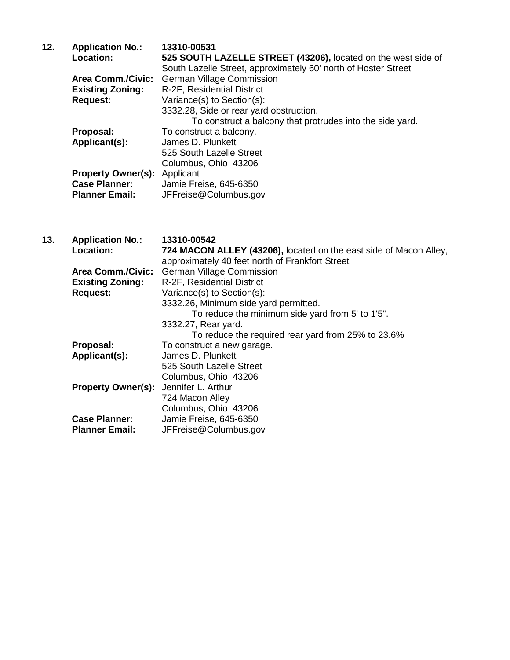| 12. | <b>Application No.:</b><br>Location: | 13310-00531<br>525 SOUTH LAZELLE STREET (43206), located on the west side of |
|-----|--------------------------------------|------------------------------------------------------------------------------|
|     |                                      | South Lazelle Street, approximately 60' north of Hoster Street               |
|     | <b>Area Comm./Civic:</b>             | <b>German Village Commission</b>                                             |
|     | <b>Existing Zoning:</b>              | R-2F, Residential District                                                   |
|     | <b>Request:</b>                      | Variance(s) to Section(s):                                                   |
|     |                                      | 3332.28, Side or rear yard obstruction.                                      |
|     |                                      | To construct a balcony that protrudes into the side yard.                    |
|     | Proposal:                            | To construct a balcony.                                                      |
|     | Applicant(s):                        | James D. Plunkett                                                            |
|     |                                      | 525 South Lazelle Street                                                     |
|     |                                      | Columbus, Ohio 43206                                                         |
|     | <b>Property Owner(s):</b>            | Applicant                                                                    |
|     | <b>Case Planner:</b>                 | Jamie Freise, 645-6350                                                       |
|     | <b>Planner Email:</b>                | JFFreise@Columbus.gov                                                        |

| 13. | <b>Application No.:</b>   | 13310-00542                                                       |
|-----|---------------------------|-------------------------------------------------------------------|
|     | <b>Location:</b>          | 724 MACON ALLEY (43206), located on the east side of Macon Alley, |
|     |                           | approximately 40 feet north of Frankfort Street                   |
|     | <b>Area Comm./Civic:</b>  | <b>German Village Commission</b>                                  |
|     | <b>Existing Zoning:</b>   | R-2F, Residential District                                        |
|     | <b>Request:</b>           | Variance(s) to Section(s):                                        |
|     |                           | 3332.26, Minimum side yard permitted.                             |
|     |                           | To reduce the minimum side yard from 5' to 1'5".                  |
|     |                           | 3332.27, Rear yard.                                               |
|     |                           | To reduce the required rear yard from 25% to 23.6%                |
|     | Proposal:                 | To construct a new garage.                                        |
|     | Applicant(s):             | James D. Plunkett                                                 |
|     |                           | 525 South Lazelle Street                                          |
|     |                           | Columbus, Ohio 43206                                              |
|     | <b>Property Owner(s):</b> | Jennifer L. Arthur                                                |
|     |                           | 724 Macon Alley                                                   |
|     |                           | Columbus, Ohio 43206                                              |
|     | <b>Case Planner:</b>      | Jamie Freise, 645-6350                                            |
|     | <b>Planner Email:</b>     | JFFreise@Columbus.gov                                             |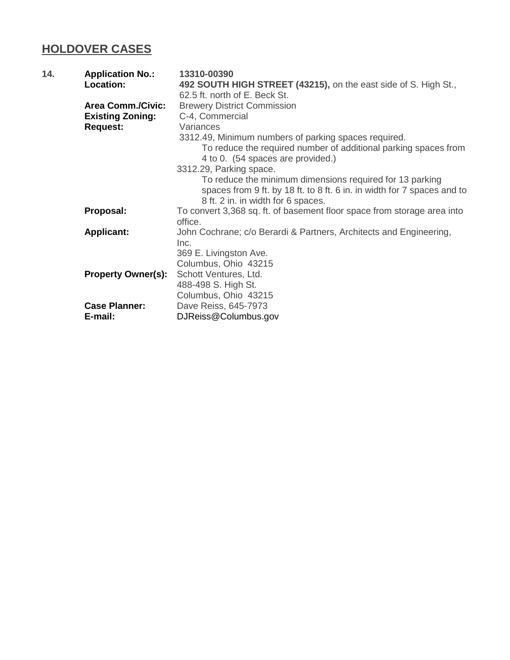## **HOLDOVER CASES**

| 14. | <b>Application No.:</b>         | 13310-00390                                                                                                                                                                                          |
|-----|---------------------------------|------------------------------------------------------------------------------------------------------------------------------------------------------------------------------------------------------|
|     | Location:                       | 492 SOUTH HIGH STREET (43215), on the east side of S. High St.,                                                                                                                                      |
|     |                                 | 62.5 ft. north of E. Beck St.                                                                                                                                                                        |
|     | <b>Area Comm./Civic:</b>        | <b>Brewery District Commission</b>                                                                                                                                                                   |
|     | <b>Existing Zoning:</b>         | C-4, Commercial                                                                                                                                                                                      |
|     | <b>Request:</b>                 | Variances                                                                                                                                                                                            |
|     |                                 | 3312.49, Minimum numbers of parking spaces required.<br>To reduce the required number of additional parking spaces from<br>4 to 0. (54 spaces are provided.)                                         |
|     |                                 | 3312.29, Parking space.<br>To reduce the minimum dimensions required for 13 parking<br>spaces from 9 ft. by 18 ft. to 8 ft. 6 in. in width for 7 spaces and to<br>8 ft. 2 in. in width for 6 spaces. |
|     | Proposal:                       | To convert 3,368 sq. ft. of basement floor space from storage area into<br>office.                                                                                                                   |
|     | <b>Applicant:</b>               | John Cochrane; c/o Berardi & Partners, Architects and Engineering,<br>Inc.<br>369 E. Livingston Ave.<br>Columbus, Ohio 43215                                                                         |
|     | <b>Property Owner(s):</b>       | Schott Ventures, Ltd.<br>488-498 S. High St.<br>Columbus, Ohio 43215                                                                                                                                 |
|     | <b>Case Planner:</b><br>E-mail: | Dave Reiss, 645-7973<br>DJReiss@Columbus.gov                                                                                                                                                         |